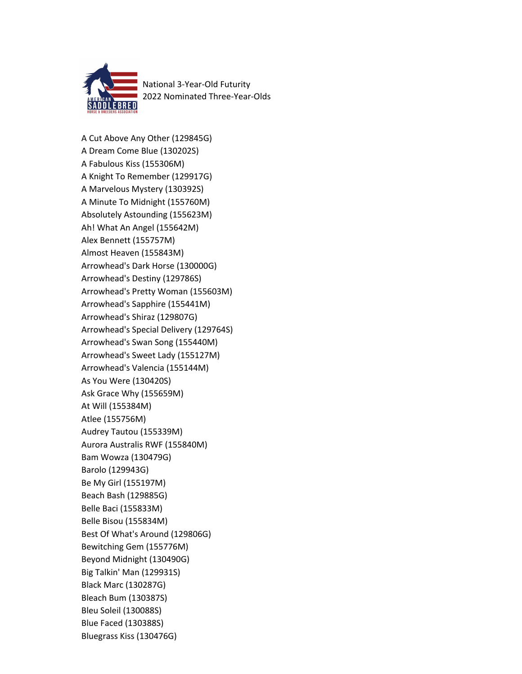

National 3-Year-Old Futurity 2022 Nominated Three-Year-Olds

A Cut Above Any Other (129845G) A Dream Come Blue (130202S) A Fabulous Kiss (155306M) A Knight To Remember (129917G) A Marvelous Mystery (130392S) A Minute To Midnight (155760M) Absolutely Astounding (155623M) Ah! What An Angel (155642M) Alex Bennett (155757M) Almost Heaven (155843M) Arrowhead's Dark Horse (130000G) Arrowhead's Destiny (129786S) Arrowhead's Pretty Woman (155603M) Arrowhead's Sapphire (155441M) Arrowhead's Shiraz (129807G) Arrowhead's Special Delivery (129764S) Arrowhead's Swan Song (155440M) Arrowhead's Sweet Lady (155127M) Arrowhead's Valencia (155144M) As You Were (130420S) Ask Grace Why (155659M) At Will (155384M) Atlee (155756M) Audrey Tautou (155339M) Aurora Australis RWF (155840M) Bam Wowza (130479G) Barolo (129943G) Be My Girl (155197M) Beach Bash (129885G) Belle Baci (155833M) Belle Bisou (155834M) Best Of What's Around (129806G) Bewitching Gem (155776M) Beyond Midnight (130490G) Big Talkin' Man (129931S) Black Marc (130287G) Bleach Bum (130387S) Bleu Soleil (130088S) Blue Faced (130388S) Bluegrass Kiss (130476G)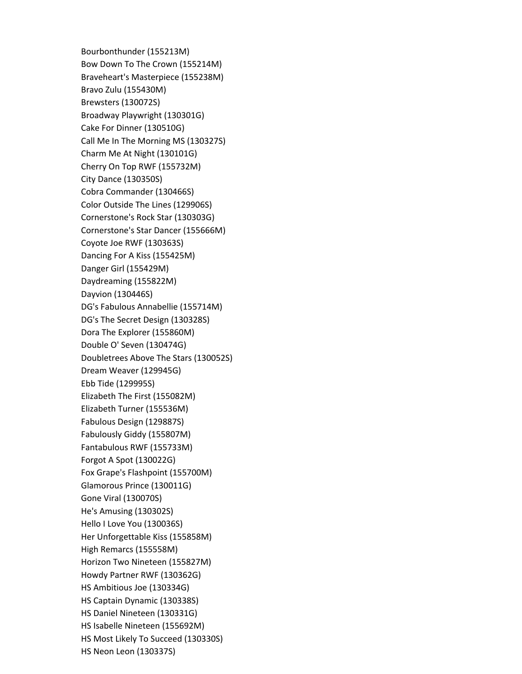Bourbonthunder (155213M) Bow Down To The Crown (155214M) Braveheart's Masterpiece (155238M) Bravo Zulu (155430M) Brewsters (130072S) Broadway Playwright (130301G) Cake For Dinner (130510G) Call Me In The Morning MS (130327S) Charm Me At Night (130101G) Cherry On Top RWF (155732M) City Dance (130350S) Cobra Commander (130466S) Color Outside The Lines (129906S) Cornerstone's Rock Star (130303G) Cornerstone's Star Dancer (155666M) Coyote Joe RWF (130363S) Dancing For A Kiss (155425M) Danger Girl (155429M) Daydreaming (155822M) Dayvion (130446S) DG's Fabulous Annabellie (155714M) DG's The Secret Design (130328S) Dora The Explorer (155860M) Double O' Seven (130474G) Doubletrees Above The Stars (130052S) Dream Weaver (129945G) Ebb Tide (129995S) Elizabeth The First (155082M) Elizabeth Turner (155536M) Fabulous Design (129887S) Fabulously Giddy (155807M) Fantabulous RWF (155733M) Forgot A Spot (130022G) Fox Grape's Flashpoint (155700M) Glamorous Prince (130011G) Gone Viral (130070S) He's Amusing (130302S) Hello I Love You (130036S) Her Unforgettable Kiss (155858M) High Remarcs (155558M) Horizon Two Nineteen (155827M) Howdy Partner RWF (130362G) HS Ambitious Joe (130334G) HS Captain Dynamic (130338S) HS Daniel Nineteen (130331G) HS Isabelle Nineteen (155692M) HS Most Likely To Succeed (130330S) HS Neon Leon (130337S)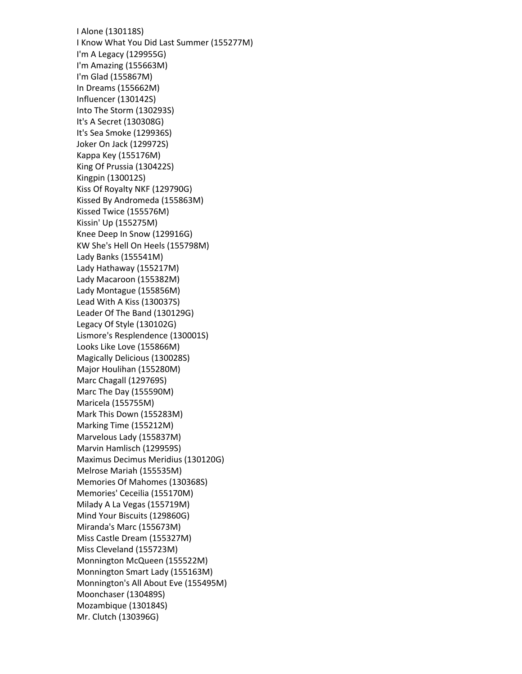I Alone (130118S) I Know What You Did Last Summer (155277M) I'm A Legacy (129955G) I'm Amazing (155663M) I'm Glad (155867M) In Dreams (155662M) Influencer (130142S) Into The Storm (130293S) It's A Secret (130308G) It's Sea Smoke (129936S) Joker On Jack (129972S) Kappa Key (155176M) King Of Prussia (130422S) Kingpin (130012S) Kiss Of Royalty NKF (129790G) Kissed By Andromeda (155863M) Kissed Twice (155576M) Kissin' Up (155275M) Knee Deep In Snow (129916G) KW She's Hell On Heels (155798M) Lady Banks (155541M) Lady Hathaway (155217M) Lady Macaroon (155382M) Lady Montague (155856M) Lead With A Kiss (130037S) Leader Of The Band (130129G) Legacy Of Style (130102G) Lismore's Resplendence (130001S) Looks Like Love (155866M) Magically Delicious (130028S) Major Houlihan (155280M) Marc Chagall (129769S) Marc The Day (155590M) Maricela (155755M) Mark This Down (155283M) Marking Time (155212M) Marvelous Lady (155837M) Marvin Hamlisch (129959S) Maximus Decimus Meridius (130120G) Melrose Mariah (155535M) Memories Of Mahomes (130368S) Memories' Ceceilia (155170M) Milady A La Vegas (155719M) Mind Your Biscuits (129860G) Miranda's Marc (155673M) Miss Castle Dream (155327M) Miss Cleveland (155723M) Monnington McQueen (155522M) Monnington Smart Lady (155163M) Monnington's All About Eve (155495M) Moonchaser (130489S) Mozambique (130184S) Mr. Clutch (130396G)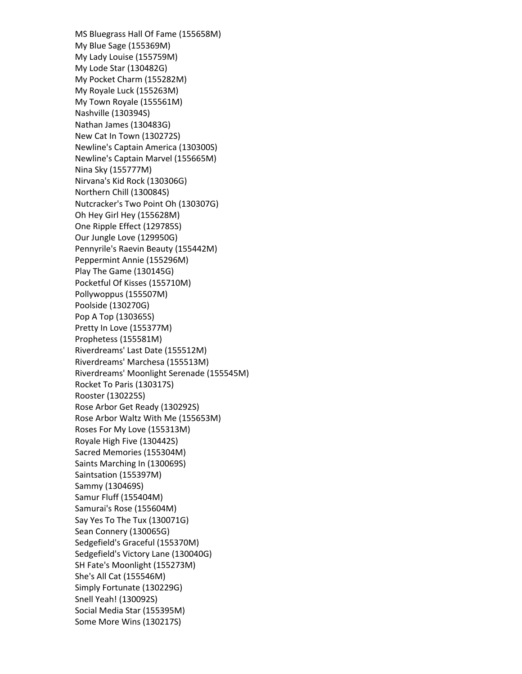MS Bluegrass Hall Of Fame (155658M) My Blue Sage (155369M) My Lady Louise (155759M) My Lode Star (130482G) My Pocket Charm (155282M) My Royale Luck (155263M) My Town Royale (155561M) Nashville (130394S) Nathan James (130483G) New Cat In Town (130272S) Newline's Captain America (130300S) Newline's Captain Marvel (155665M) Nina Sky (155777M) Nirvana's Kid Rock (130306G) Northern Chill (130084S) Nutcracker's Two Point Oh (130307G) Oh Hey Girl Hey (155628M) One Ripple Effect (129785S) Our Jungle Love (129950G) Pennyrile's Raevin Beauty (155442M) Peppermint Annie (155296M) Play The Game (130145G) Pocketful Of Kisses (155710M) Pollywoppus (155507M) Poolside (130270G) Pop A Top (130365S) Pretty In Love (155377M) Prophetess (155581M) Riverdreams' Last Date (155512M) Riverdreams' Marchesa (155513M) Riverdreams' Moonlight Serenade (155545M) Rocket To Paris (130317S) Rooster (130225S) Rose Arbor Get Ready (130292S) Rose Arbor Waltz With Me (155653M) Roses For My Love (155313M) Royale High Five (130442S) Sacred Memories (155304M) Saints Marching In (130069S) Saintsation (155397M) Sammy (130469S) Samur Fluff (155404M) Samurai's Rose (155604M) Say Yes To The Tux (130071G) Sean Connery (130065G) Sedgefield's Graceful (155370M) Sedgefield's Victory Lane (130040G) SH Fate's Moonlight (155273M) She's All Cat (155546M) Simply Fortunate (130229G) Snell Yeah! (130092S) Social Media Star (155395M) Some More Wins (130217S)